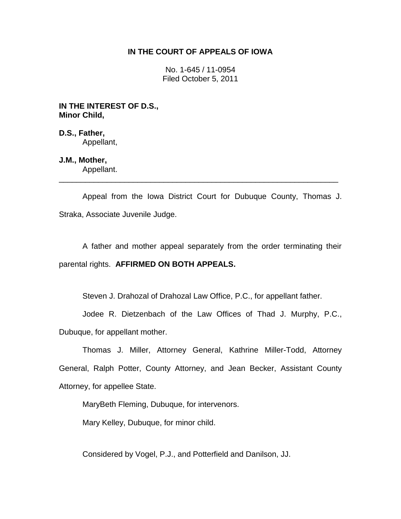# **IN THE COURT OF APPEALS OF IOWA**

No. 1-645 / 11-0954 Filed October 5, 2011

**IN THE INTEREST OF D.S., Minor Child,**

**D.S., Father,** Appellant,

# **J.M., Mother,**

Appellant. \_\_\_\_\_\_\_\_\_\_\_\_\_\_\_\_\_\_\_\_\_\_\_\_\_\_\_\_\_\_\_\_\_\_\_\_\_\_\_\_\_\_\_\_\_\_\_\_\_\_\_\_\_\_\_\_\_\_\_\_\_\_\_\_

Appeal from the Iowa District Court for Dubuque County, Thomas J. Straka, Associate Juvenile Judge.

A father and mother appeal separately from the order terminating their parental rights. **AFFIRMED ON BOTH APPEALS.**

Steven J. Drahozal of Drahozal Law Office, P.C., for appellant father.

Jodee R. Dietzenbach of the Law Offices of Thad J. Murphy, P.C.,

Dubuque, for appellant mother.

Thomas J. Miller, Attorney General, Kathrine Miller-Todd, Attorney General, Ralph Potter, County Attorney, and Jean Becker, Assistant County Attorney, for appellee State.

MaryBeth Fleming, Dubuque, for intervenors.

Mary Kelley, Dubuque, for minor child.

Considered by Vogel, P.J., and Potterfield and Danilson, JJ.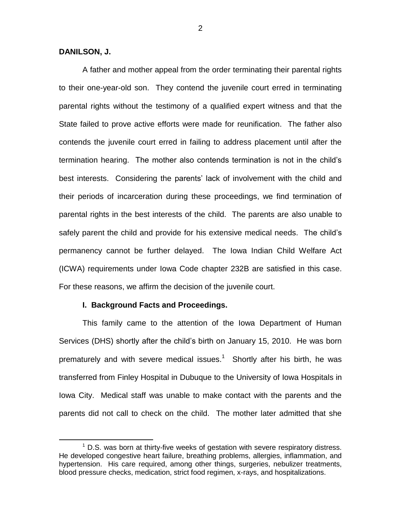# **DANILSON, J.**

 $\overline{a}$ 

A father and mother appeal from the order terminating their parental rights to their one-year-old son. They contend the juvenile court erred in terminating parental rights without the testimony of a qualified expert witness and that the State failed to prove active efforts were made for reunification. The father also contends the juvenile court erred in failing to address placement until after the termination hearing. The mother also contends termination is not in the child's best interests. Considering the parents' lack of involvement with the child and their periods of incarceration during these proceedings, we find termination of parental rights in the best interests of the child. The parents are also unable to safely parent the child and provide for his extensive medical needs. The child's permanency cannot be further delayed. The Iowa Indian Child Welfare Act (ICWA) requirements under Iowa Code chapter 232B are satisfied in this case. For these reasons, we affirm the decision of the juvenile court.

## **I. Background Facts and Proceedings.**

This family came to the attention of the Iowa Department of Human Services (DHS) shortly after the child's birth on January 15, 2010. He was born prematurely and with severe medical issues.<sup>1</sup> Shortly after his birth, he was transferred from Finley Hospital in Dubuque to the University of Iowa Hospitals in Iowa City. Medical staff was unable to make contact with the parents and the parents did not call to check on the child. The mother later admitted that she

 $1$  D.S. was born at thirty-five weeks of gestation with severe respiratory distress. He developed congestive heart failure, breathing problems, allergies, inflammation, and hypertension. His care required, among other things, surgeries, nebulizer treatments, blood pressure checks, medication, strict food regimen, x-rays, and hospitalizations.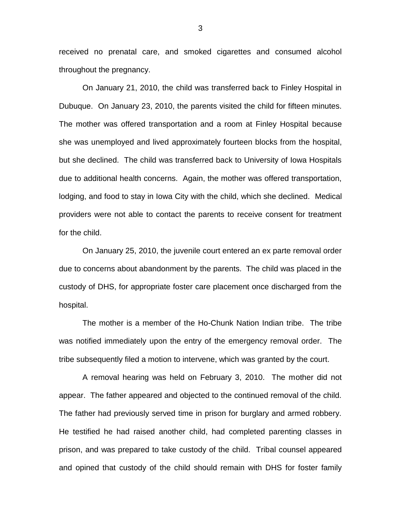received no prenatal care, and smoked cigarettes and consumed alcohol throughout the pregnancy.

On January 21, 2010, the child was transferred back to Finley Hospital in Dubuque. On January 23, 2010, the parents visited the child for fifteen minutes. The mother was offered transportation and a room at Finley Hospital because she was unemployed and lived approximately fourteen blocks from the hospital, but she declined. The child was transferred back to University of Iowa Hospitals due to additional health concerns. Again, the mother was offered transportation, lodging, and food to stay in Iowa City with the child, which she declined. Medical providers were not able to contact the parents to receive consent for treatment for the child.

On January 25, 2010, the juvenile court entered an ex parte removal order due to concerns about abandonment by the parents. The child was placed in the custody of DHS, for appropriate foster care placement once discharged from the hospital.

The mother is a member of the Ho-Chunk Nation Indian tribe. The tribe was notified immediately upon the entry of the emergency removal order. The tribe subsequently filed a motion to intervene, which was granted by the court.

A removal hearing was held on February 3, 2010. The mother did not appear. The father appeared and objected to the continued removal of the child. The father had previously served time in prison for burglary and armed robbery. He testified he had raised another child, had completed parenting classes in prison, and was prepared to take custody of the child. Tribal counsel appeared and opined that custody of the child should remain with DHS for foster family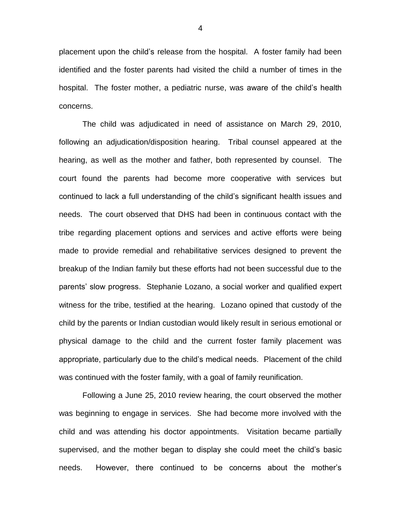placement upon the child's release from the hospital. A foster family had been identified and the foster parents had visited the child a number of times in the hospital. The foster mother, a pediatric nurse, was aware of the child's health concerns.

The child was adjudicated in need of assistance on March 29, 2010, following an adjudication/disposition hearing. Tribal counsel appeared at the hearing, as well as the mother and father, both represented by counsel. The court found the parents had become more cooperative with services but continued to lack a full understanding of the child's significant health issues and needs. The court observed that DHS had been in continuous contact with the tribe regarding placement options and services and active efforts were being made to provide remedial and rehabilitative services designed to prevent the breakup of the Indian family but these efforts had not been successful due to the parents' slow progress. Stephanie Lozano, a social worker and qualified expert witness for the tribe, testified at the hearing. Lozano opined that custody of the child by the parents or Indian custodian would likely result in serious emotional or physical damage to the child and the current foster family placement was appropriate, particularly due to the child's medical needs. Placement of the child was continued with the foster family, with a goal of family reunification.

Following a June 25, 2010 review hearing, the court observed the mother was beginning to engage in services. She had become more involved with the child and was attending his doctor appointments. Visitation became partially supervised, and the mother began to display she could meet the child's basic needs. However, there continued to be concerns about the mother's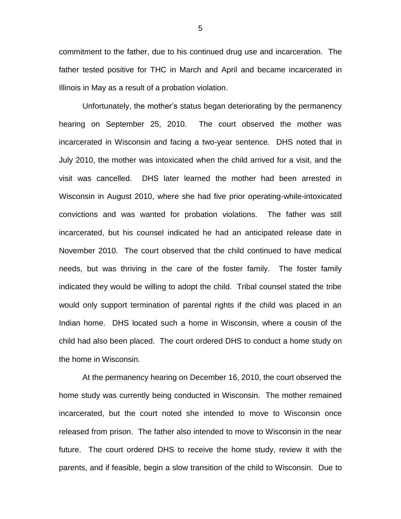commitment to the father, due to his continued drug use and incarceration. The father tested positive for THC in March and April and became incarcerated in Illinois in May as a result of a probation violation.

Unfortunately, the mother's status began deteriorating by the permanency hearing on September 25, 2010. The court observed the mother was incarcerated in Wisconsin and facing a two-year sentence. DHS noted that in July 2010, the mother was intoxicated when the child arrived for a visit, and the visit was cancelled. DHS later learned the mother had been arrested in Wisconsin in August 2010, where she had five prior operating-while-intoxicated convictions and was wanted for probation violations. The father was still incarcerated, but his counsel indicated he had an anticipated release date in November 2010. The court observed that the child continued to have medical needs, but was thriving in the care of the foster family. The foster family indicated they would be willing to adopt the child. Tribal counsel stated the tribe would only support termination of parental rights if the child was placed in an Indian home. DHS located such a home in Wisconsin, where a cousin of the child had also been placed. The court ordered DHS to conduct a home study on the home in Wisconsin.

At the permanency hearing on December 16, 2010, the court observed the home study was currently being conducted in Wisconsin. The mother remained incarcerated, but the court noted she intended to move to Wisconsin once released from prison. The father also intended to move to Wisconsin in the near future. The court ordered DHS to receive the home study, review it with the parents, and if feasible, begin a slow transition of the child to Wisconsin. Due to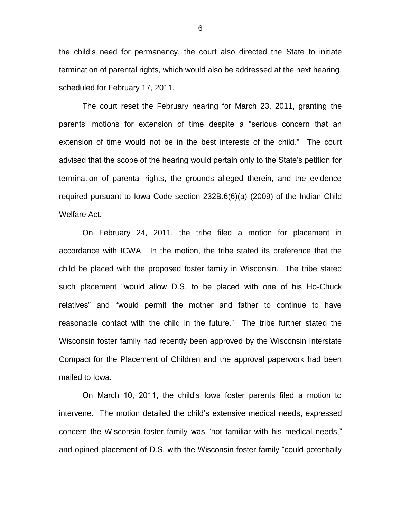the child's need for permanency, the court also directed the State to initiate termination of parental rights, which would also be addressed at the next hearing, scheduled for February 17, 2011.

The court reset the February hearing for March 23, 2011, granting the parents' motions for extension of time despite a "serious concern that an extension of time would not be in the best interests of the child." The court advised that the scope of the hearing would pertain only to the State's petition for termination of parental rights, the grounds alleged therein, and the evidence required pursuant to Iowa Code section 232B.6(6)(a) (2009) of the Indian Child Welfare Act.

On February 24, 2011, the tribe filed a motion for placement in accordance with ICWA. In the motion, the tribe stated its preference that the child be placed with the proposed foster family in Wisconsin. The tribe stated such placement "would allow D.S. to be placed with one of his Ho-Chuck relatives" and "would permit the mother and father to continue to have reasonable contact with the child in the future." The tribe further stated the Wisconsin foster family had recently been approved by the Wisconsin Interstate Compact for the Placement of Children and the approval paperwork had been mailed to Iowa.

On March 10, 2011, the child's Iowa foster parents filed a motion to intervene. The motion detailed the child's extensive medical needs, expressed concern the Wisconsin foster family was "not familiar with his medical needs," and opined placement of D.S. with the Wisconsin foster family "could potentially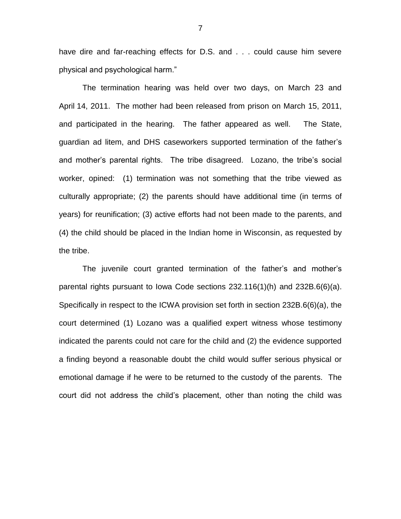have dire and far-reaching effects for D.S. and . . . could cause him severe physical and psychological harm."

The termination hearing was held over two days, on March 23 and April 14, 2011. The mother had been released from prison on March 15, 2011, and participated in the hearing. The father appeared as well. The State, guardian ad litem, and DHS caseworkers supported termination of the father's and mother's parental rights. The tribe disagreed. Lozano, the tribe's social worker, opined: (1) termination was not something that the tribe viewed as culturally appropriate; (2) the parents should have additional time (in terms of years) for reunification; (3) active efforts had not been made to the parents, and (4) the child should be placed in the Indian home in Wisconsin, as requested by the tribe.

The juvenile court granted termination of the father's and mother's parental rights pursuant to Iowa Code sections 232.116(1)(h) and 232B.6(6)(a). Specifically in respect to the ICWA provision set forth in section 232B.6(6)(a), the court determined (1) Lozano was a qualified expert witness whose testimony indicated the parents could not care for the child and (2) the evidence supported a finding beyond a reasonable doubt the child would suffer serious physical or emotional damage if he were to be returned to the custody of the parents. The court did not address the child's placement, other than noting the child was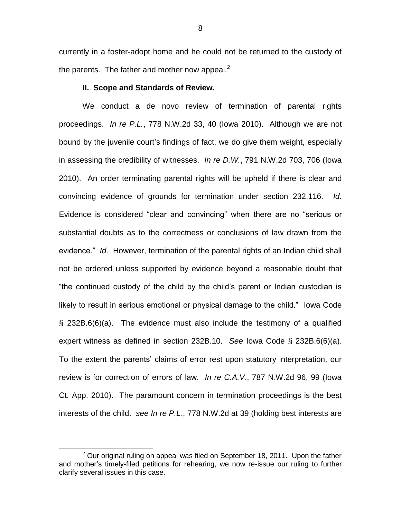currently in a foster-adopt home and he could not be returned to the custody of the parents. The father and mother now appeal.<sup>2</sup>

#### **II. Scope and Standards of Review.**

We conduct a de novo review of termination of parental rights proceedings. *In re P.L.*, 778 N.W.2d 33, 40 (Iowa 2010). Although we are not bound by the juvenile court's findings of fact, we do give them weight, especially in assessing the credibility of witnesses. *In re D.W.*, 791 N.W.2d 703, 706 (Iowa 2010). An order terminating parental rights will be upheld if there is clear and convincing evidence of grounds for termination under section 232.116. *Id.* Evidence is considered "clear and convincing" when there are no "serious or substantial doubts as to the correctness or conclusions of law drawn from the evidence." *Id.* However, termination of the parental rights of an Indian child shall not be ordered unless supported by evidence beyond a reasonable doubt that "the continued custody of the child by the child's parent or Indian custodian is likely to result in serious emotional or physical damage to the child." Iowa Code § 232B.6(6)(a). The evidence must also include the testimony of a qualified expert witness as defined in section 232B.10. *See* Iowa Code § 232B.6(6)(a). To the extent the parents' claims of error rest upon statutory interpretation, our review is for correction of errors of law. *In re C.A.V*., 787 N.W.2d 96, 99 (Iowa Ct. App. 2010). The paramount concern in termination proceedings is the best interests of the child. *see In re P.L*., 778 N.W.2d at 39 (holding best interests are

 $\overline{a}$ 

 $2$  Our original ruling on appeal was filed on September 18, 2011. Upon the father and mother's timely-filed petitions for rehearing, we now re-issue our ruling to further clarify several issues in this case.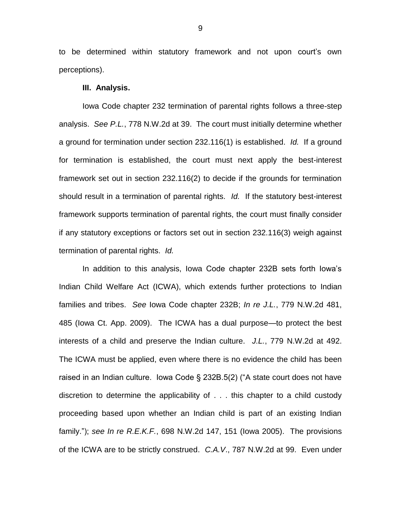to be determined within statutory framework and not upon court's own perceptions).

## **III. Analysis.**

Iowa Code chapter 232 termination of parental rights follows a three-step analysis. *See P.L.*, 778 N.W.2d at 39. The court must initially determine whether a ground for termination under section 232.116(1) is established. *Id.* If a ground for termination is established, the court must next apply the best-interest framework set out in section 232.116(2) to decide if the grounds for termination should result in a termination of parental rights. *Id.* If the statutory best-interest framework supports termination of parental rights, the court must finally consider if any statutory exceptions or factors set out in section 232.116(3) weigh against termination of parental rights. *Id.*

In addition to this analysis, Iowa Code chapter 232B sets forth Iowa's Indian Child Welfare Act (ICWA), which extends further protections to Indian families and tribes. *See* Iowa Code chapter 232B; *In re J.L.*, 779 N.W.2d 481, 485 (Iowa Ct. App. 2009). The ICWA has a dual purpose—to protect the best interests of a child and preserve the Indian culture. *J.L.*, 779 N.W.2d at 492. The ICWA must be applied, even where there is no evidence the child has been raised in an Indian culture. Iowa Code § 232B.5(2) ("A state court does not have discretion to determine the applicability of . . . this chapter to a child custody proceeding based upon whether an Indian child is part of an existing Indian family."); *see In re R.E.K.F.*, 698 N.W.2d 147, 151 (Iowa 2005). The provisions of the ICWA are to be strictly construed. *C.A.V*., 787 N.W.2d at 99. Even under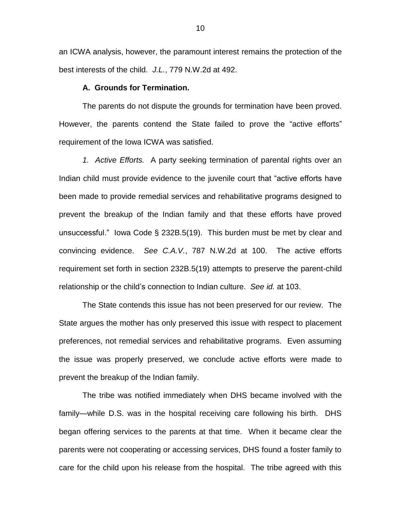an ICWA analysis, however, the paramount interest remains the protection of the best interests of the child. *J.L.*, 779 N.W.2d at 492.

# **A. Grounds for Termination.**

The parents do not dispute the grounds for termination have been proved. However, the parents contend the State failed to prove the "active efforts" requirement of the Iowa ICWA was satisfied.

*1. Active Efforts.* A party seeking termination of parental rights over an Indian child must provide evidence to the juvenile court that "active efforts have been made to provide remedial services and rehabilitative programs designed to prevent the breakup of the Indian family and that these efforts have proved unsuccessful." Iowa Code § 232B.5(19). This burden must be met by clear and convincing evidence. *See C.A.V.*, 787 N.W.2d at 100. The active efforts requirement set forth in section 232B.5(19) attempts to preserve the parent-child relationship or the child's connection to Indian culture. *See id.* at 103.

The State contends this issue has not been preserved for our review. The State argues the mother has only preserved this issue with respect to placement preferences, not remedial services and rehabilitative programs. Even assuming the issue was properly preserved, we conclude active efforts were made to prevent the breakup of the Indian family.

The tribe was notified immediately when DHS became involved with the family—while D.S. was in the hospital receiving care following his birth. DHS began offering services to the parents at that time. When it became clear the parents were not cooperating or accessing services, DHS found a foster family to care for the child upon his release from the hospital. The tribe agreed with this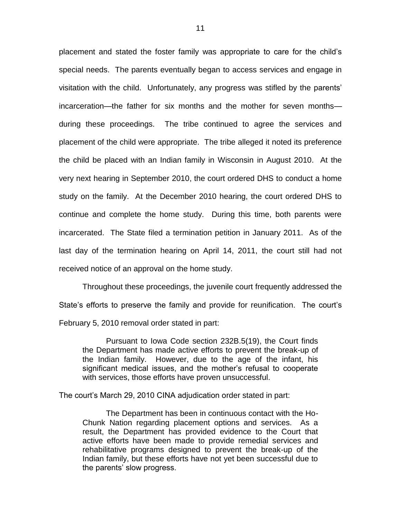placement and stated the foster family was appropriate to care for the child's special needs. The parents eventually began to access services and engage in visitation with the child. Unfortunately, any progress was stifled by the parents' incarceration—the father for six months and the mother for seven months during these proceedings. The tribe continued to agree the services and placement of the child were appropriate. The tribe alleged it noted its preference the child be placed with an Indian family in Wisconsin in August 2010. At the very next hearing in September 2010, the court ordered DHS to conduct a home study on the family. At the December 2010 hearing, the court ordered DHS to continue and complete the home study. During this time, both parents were incarcerated. The State filed a termination petition in January 2011. As of the last day of the termination hearing on April 14, 2011, the court still had not received notice of an approval on the home study.

Throughout these proceedings, the juvenile court frequently addressed the State's efforts to preserve the family and provide for reunification. The court's February 5, 2010 removal order stated in part:

Pursuant to Iowa Code section 232B.5(19), the Court finds the Department has made active efforts to prevent the break-up of the Indian family. However, due to the age of the infant, his significant medical issues, and the mother's refusal to cooperate with services, those efforts have proven unsuccessful.

The court's March 29, 2010 CINA adjudication order stated in part:

The Department has been in continuous contact with the Ho-Chunk Nation regarding placement options and services. As a result, the Department has provided evidence to the Court that active efforts have been made to provide remedial services and rehabilitative programs designed to prevent the break-up of the Indian family, but these efforts have not yet been successful due to the parents' slow progress.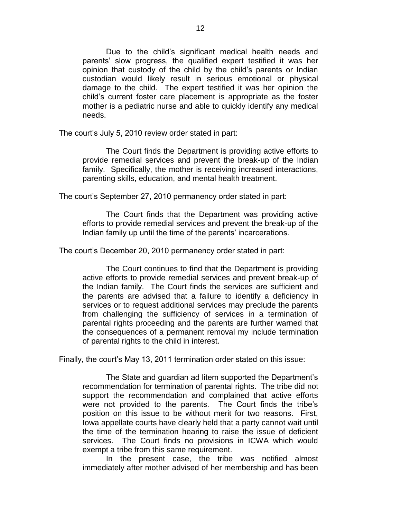Due to the child's significant medical health needs and parents' slow progress, the qualified expert testified it was her opinion that custody of the child by the child's parents or Indian custodian would likely result in serious emotional or physical damage to the child. The expert testified it was her opinion the child's current foster care placement is appropriate as the foster mother is a pediatric nurse and able to quickly identify any medical needs.

The court's July 5, 2010 review order stated in part:

The Court finds the Department is providing active efforts to provide remedial services and prevent the break-up of the Indian family. Specifically, the mother is receiving increased interactions, parenting skills, education, and mental health treatment.

The court's September 27, 2010 permanency order stated in part:

The Court finds that the Department was providing active efforts to provide remedial services and prevent the break-up of the Indian family up until the time of the parents' incarcerations.

The court's December 20, 2010 permanency order stated in part:

The Court continues to find that the Department is providing active efforts to provide remedial services and prevent break-up of the Indian family. The Court finds the services are sufficient and the parents are advised that a failure to identify a deficiency in services or to request additional services may preclude the parents from challenging the sufficiency of services in a termination of parental rights proceeding and the parents are further warned that the consequences of a permanent removal my include termination of parental rights to the child in interest.

Finally, the court's May 13, 2011 termination order stated on this issue:

The State and guardian ad litem supported the Department's recommendation for termination of parental rights. The tribe did not support the recommendation and complained that active efforts were not provided to the parents. The Court finds the tribe's position on this issue to be without merit for two reasons. First, Iowa appellate courts have clearly held that a party cannot wait until the time of the termination hearing to raise the issue of deficient services. The Court finds no provisions in ICWA which would exempt a tribe from this same requirement.

In the present case, the tribe was notified almost immediately after mother advised of her membership and has been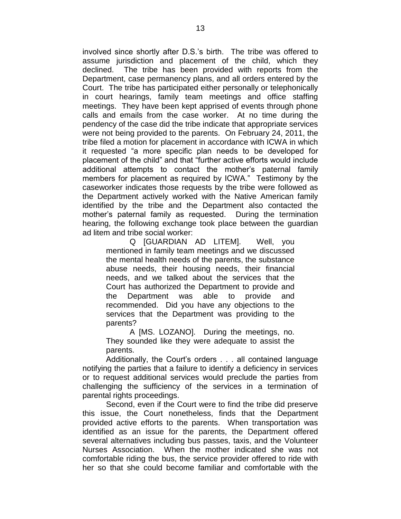involved since shortly after D.S.'s birth. The tribe was offered to assume jurisdiction and placement of the child, which they declined. The tribe has been provided with reports from the Department, case permanency plans, and all orders entered by the Court. The tribe has participated either personally or telephonically in court hearings, family team meetings and office staffing meetings. They have been kept apprised of events through phone calls and emails from the case worker. At no time during the pendency of the case did the tribe indicate that appropriate services were not being provided to the parents. On February 24, 2011, the tribe filed a motion for placement in accordance with ICWA in which it requested "a more specific plan needs to be developed for placement of the child" and that "further active efforts would include additional attempts to contact the mother's paternal family members for placement as required by ICWA." Testimony by the caseworker indicates those requests by the tribe were followed as the Department actively worked with the Native American family identified by the tribe and the Department also contacted the mother's paternal family as requested. During the termination hearing, the following exchange took place between the guardian ad litem and tribe social worker:

Q [GUARDIAN AD LITEM]. Well, you mentioned in family team meetings and we discussed the mental health needs of the parents, the substance abuse needs, their housing needs, their financial needs, and we talked about the services that the Court has authorized the Department to provide and the Department was able to provide and recommended. Did you have any objections to the services that the Department was providing to the parents?

A [MS. LOZANO]. During the meetings, no. They sounded like they were adequate to assist the parents.

Additionally, the Court's orders . . . all contained language notifying the parties that a failure to identify a deficiency in services or to request additional services would preclude the parties from challenging the sufficiency of the services in a termination of parental rights proceedings.

Second, even if the Court were to find the tribe did preserve this issue, the Court nonetheless, finds that the Department provided active efforts to the parents. When transportation was identified as an issue for the parents, the Department offered several alternatives including bus passes, taxis, and the Volunteer Nurses Association. When the mother indicated she was not comfortable riding the bus, the service provider offered to ride with her so that she could become familiar and comfortable with the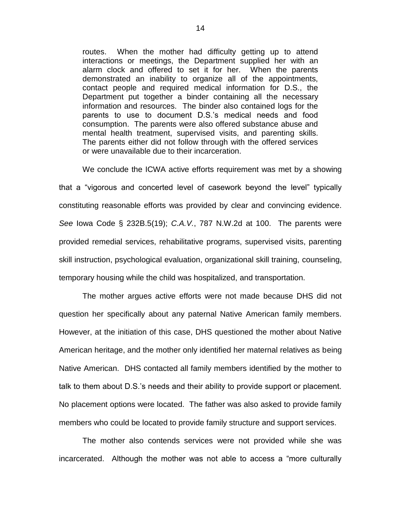routes. When the mother had difficulty getting up to attend interactions or meetings, the Department supplied her with an alarm clock and offered to set it for her. When the parents demonstrated an inability to organize all of the appointments, contact people and required medical information for D.S., the Department put together a binder containing all the necessary information and resources. The binder also contained logs for the parents to use to document D.S.'s medical needs and food consumption. The parents were also offered substance abuse and mental health treatment, supervised visits, and parenting skills. The parents either did not follow through with the offered services or were unavailable due to their incarceration.

We conclude the ICWA active efforts requirement was met by a showing that a "vigorous and concerted level of casework beyond the level" typically constituting reasonable efforts was provided by clear and convincing evidence. *See* Iowa Code § 232B.5(19); *C.A.V.*, 787 N.W.2d at 100. The parents were provided remedial services, rehabilitative programs, supervised visits, parenting skill instruction, psychological evaluation, organizational skill training, counseling, temporary housing while the child was hospitalized, and transportation.

The mother argues active efforts were not made because DHS did not question her specifically about any paternal Native American family members. However, at the initiation of this case, DHS questioned the mother about Native American heritage, and the mother only identified her maternal relatives as being Native American. DHS contacted all family members identified by the mother to talk to them about D.S.'s needs and their ability to provide support or placement. No placement options were located. The father was also asked to provide family members who could be located to provide family structure and support services.

The mother also contends services were not provided while she was incarcerated. Although the mother was not able to access a "more culturally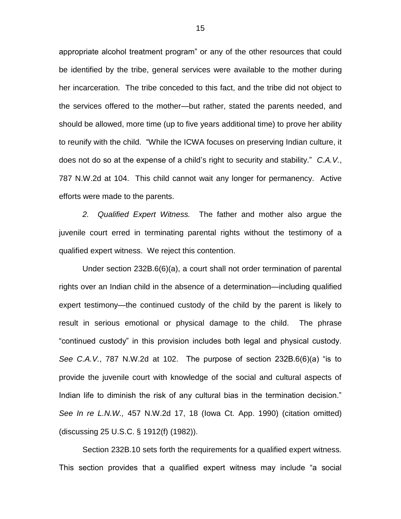appropriate alcohol treatment program" or any of the other resources that could be identified by the tribe, general services were available to the mother during her incarceration. The tribe conceded to this fact, and the tribe did not object to the services offered to the mother—but rather, stated the parents needed, and should be allowed, more time (up to five years additional time) to prove her ability to reunify with the child. "While the ICWA focuses on preserving Indian culture, it does not do so at the expense of a child's right to security and stability." *C.A.V.*, 787 N.W.2d at 104. This child cannot wait any longer for permanency. Active efforts were made to the parents.

*2. Qualified Expert Witness.* The father and mother also argue the juvenile court erred in terminating parental rights without the testimony of a qualified expert witness. We reject this contention.

Under section 232B.6(6)(a), a court shall not order termination of parental rights over an Indian child in the absence of a determination—including qualified expert testimony—the continued custody of the child by the parent is likely to result in serious emotional or physical damage to the child. The phrase "continued custody" in this provision includes both legal and physical custody. *See C.A.V.*, 787 N.W.2d at 102. The purpose of section 232B.6(6)(a) "is to provide the juvenile court with knowledge of the social and cultural aspects of Indian life to diminish the risk of any cultural bias in the termination decision." *See In re L.N.W.,* 457 N.W.2d 17, 18 (Iowa Ct. App. 1990) (citation omitted) (discussing 25 U.S.C. § 1912(f) (1982)).

Section 232B.10 sets forth the requirements for a qualified expert witness. This section provides that a qualified expert witness may include "a social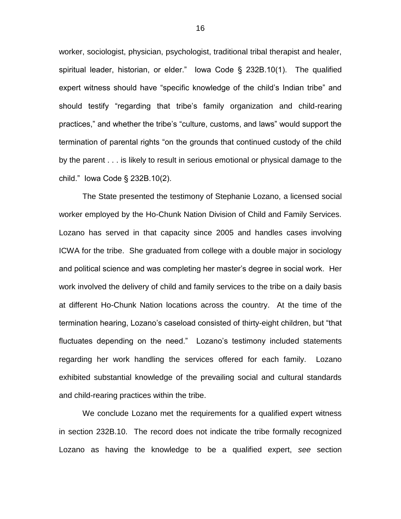worker, sociologist, physician, psychologist, traditional tribal therapist and healer, spiritual leader, historian, or elder." Iowa Code § 232B.10(1). The qualified expert witness should have "specific knowledge of the child's Indian tribe" and should testify "regarding that tribe's family organization and child-rearing practices," and whether the tribe's "culture, customs, and laws" would support the termination of parental rights "on the grounds that continued custody of the child by the parent . . . is likely to result in serious emotional or physical damage to the child." Iowa Code § 232B.10(2).

The State presented the testimony of Stephanie Lozano, a licensed social worker employed by the Ho-Chunk Nation Division of Child and Family Services. Lozano has served in that capacity since 2005 and handles cases involving ICWA for the tribe. She graduated from college with a double major in sociology and political science and was completing her master's degree in social work. Her work involved the delivery of child and family services to the tribe on a daily basis at different Ho-Chunk Nation locations across the country. At the time of the termination hearing, Lozano's caseload consisted of thirty-eight children, but "that fluctuates depending on the need." Lozano's testimony included statements regarding her work handling the services offered for each family. Lozano exhibited substantial knowledge of the prevailing social and cultural standards and child-rearing practices within the tribe.

We conclude Lozano met the requirements for a qualified expert witness in section 232B.10. The record does not indicate the tribe formally recognized Lozano as having the knowledge to be a qualified expert, *see* section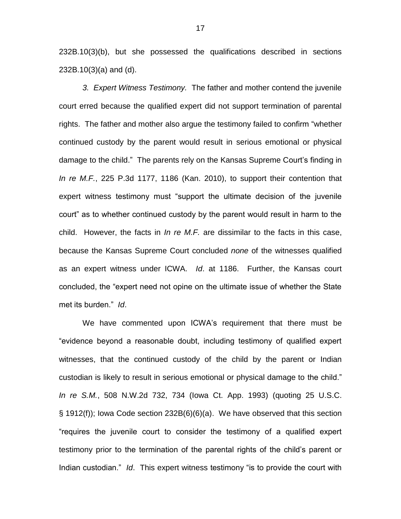232B.10(3)(b), but she possessed the qualifications described in sections 232B.10(3)(a) and (d).

*3. Expert Witness Testimony.* The father and mother contend the juvenile court erred because the qualified expert did not support termination of parental rights. The father and mother also argue the testimony failed to confirm "whether continued custody by the parent would result in serious emotional or physical damage to the child." The parents rely on the Kansas Supreme Court's finding in *In re M.F.*, 225 P.3d 1177, 1186 (Kan. 2010), to support their contention that expert witness testimony must "support the ultimate decision of the juvenile court" as to whether continued custody by the parent would result in harm to the child. However, the facts in *In re M.F.* are dissimilar to the facts in this case, because the Kansas Supreme Court concluded *none* of the witnesses qualified as an expert witness under ICWA. *Id*. at 1186. Further, the Kansas court concluded, the "expert need not opine on the ultimate issue of whether the State met its burden." *Id*.

We have commented upon ICWA's requirement that there must be "evidence beyond a reasonable doubt, including testimony of qualified expert witnesses, that the continued custody of the child by the parent or Indian custodian is likely to result in serious emotional or physical damage to the child." *In re S.M.*, 508 N.W.2d 732, 734 (Iowa Ct. App. 1993) (quoting 25 U.S.C. § 1912(f)); Iowa Code section 232B(6)(6)(a). We have observed that this section "requires the juvenile court to consider the testimony of a qualified expert testimony prior to the termination of the parental rights of the child's parent or Indian custodian." *Id*. This expert witness testimony "is to provide the court with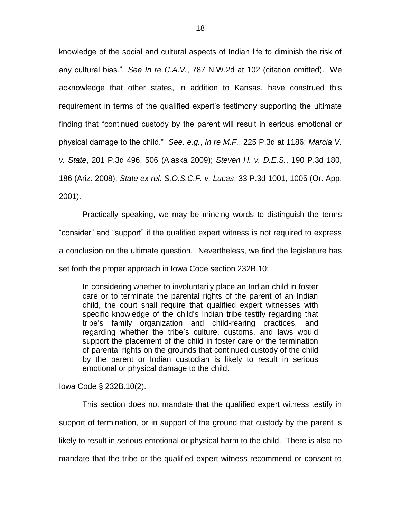knowledge of the social and cultural aspects of Indian life to diminish the risk of any cultural bias." *See In re C.A.V.*, 787 N.W.2d at 102 (citation omitted). We acknowledge that other states, in addition to Kansas, have construed this requirement in terms of the qualified expert's testimony supporting the ultimate finding that "continued custody by the parent will result in serious emotional or physical damage to the child." *See, e.g.*, *In re M.F.*, 225 P.3d at 1186; *Marcia V. v. State*, 201 P.3d 496, 506 (Alaska 2009); *Steven H. v. D.E.S.*, 190 P.3d 180, 186 (Ariz. 2008); *State ex rel. S.O.S.C.F. v. Lucas*, 33 P.3d 1001, 1005 (Or. App. 2001).

Practically speaking, we may be mincing words to distinguish the terms "consider" and "support" if the qualified expert witness is not required to express a conclusion on the ultimate question. Nevertheless, we find the legislature has set forth the proper approach in Iowa Code section 232B.10:

In considering whether to involuntarily place an Indian child in foster care or to terminate the parental rights of the parent of an Indian child, the court shall require that qualified expert witnesses with specific knowledge of the child's Indian tribe testify regarding that tribe's family organization and child-rearing practices, and regarding whether the tribe's culture, customs, and laws would support the placement of the child in foster care or the termination of parental rights on the grounds that continued custody of the child by the parent or Indian custodian is likely to result in serious emotional or physical damage to the child.

Iowa Code § 232B.10(2).

This section does not mandate that the qualified expert witness testify in support of termination, or in support of the ground that custody by the parent is likely to result in serious emotional or physical harm to the child. There is also no mandate that the tribe or the qualified expert witness recommend or consent to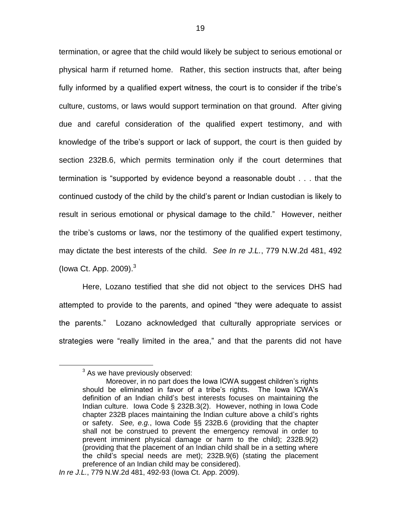termination, or agree that the child would likely be subject to serious emotional or physical harm if returned home. Rather, this section instructs that, after being fully informed by a qualified expert witness, the court is to consider if the tribe's culture, customs, or laws would support termination on that ground. After giving due and careful consideration of the qualified expert testimony, and with knowledge of the tribe's support or lack of support, the court is then guided by section 232B.6, which permits termination only if the court determines that termination is "supported by evidence beyond a reasonable doubt . . . that the continued custody of the child by the child's parent or Indian custodian is likely to result in serious emotional or physical damage to the child." However, neither the tribe's customs or laws, nor the testimony of the qualified expert testimony, may dictate the best interests of the child. *See In re J.L.*, 779 N.W.2d 481, 492 (lowa Ct. App.  $2009$ ). $3$ 

Here, Lozano testified that she did not object to the services DHS had attempted to provide to the parents, and opined "they were adequate to assist the parents." Lozano acknowledged that culturally appropriate services or strategies were "really limited in the area," and that the parents did not have

 $\overline{a}$ 

<sup>&</sup>lt;sup>3</sup> As we have previously observed:

Moreover, in no part does the Iowa ICWA suggest children's rights should be eliminated in favor of a tribe's rights. The Iowa ICWA's definition of an Indian child's best interests focuses on maintaining the Indian culture. Iowa Code § 232B.3(2). However, nothing in Iowa Code chapter 232B places maintaining the Indian culture above a child's rights or safety. *See, e.g.*, Iowa Code §§ 232B.6 (providing that the chapter shall not be construed to prevent the emergency removal in order to prevent imminent physical damage or harm to the child); 232B.9(2) (providing that the placement of an Indian child shall be in a setting where the child's special needs are met); 232B.9(6) (stating the placement preference of an Indian child may be considered).

*In re J.L.*, 779 N.W.2d 481, 492-93 (Iowa Ct. App. 2009).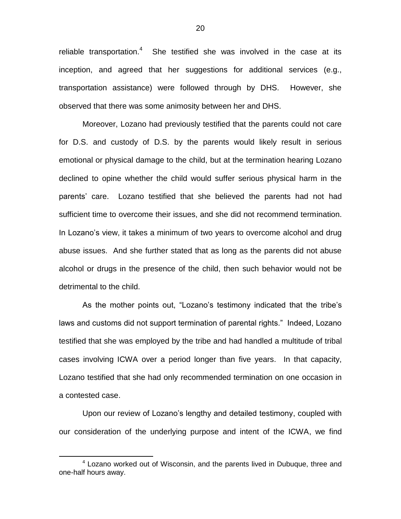reliable transportation.<sup>4</sup> She testified she was involved in the case at its inception, and agreed that her suggestions for additional services (e.g., transportation assistance) were followed through by DHS. However, she observed that there was some animosity between her and DHS.

Moreover, Lozano had previously testified that the parents could not care for D.S. and custody of D.S. by the parents would likely result in serious emotional or physical damage to the child, but at the termination hearing Lozano declined to opine whether the child would suffer serious physical harm in the parents' care. Lozano testified that she believed the parents had not had sufficient time to overcome their issues, and she did not recommend termination. In Lozano's view, it takes a minimum of two years to overcome alcohol and drug abuse issues. And she further stated that as long as the parents did not abuse alcohol or drugs in the presence of the child, then such behavior would not be detrimental to the child.

As the mother points out, "Lozano's testimony indicated that the tribe's laws and customs did not support termination of parental rights." Indeed, Lozano testified that she was employed by the tribe and had handled a multitude of tribal cases involving ICWA over a period longer than five years. In that capacity, Lozano testified that she had only recommended termination on one occasion in a contested case.

Upon our review of Lozano's lengthy and detailed testimony, coupled with our consideration of the underlying purpose and intent of the ICWA, we find

 $\overline{a}$ 

<sup>&</sup>lt;sup>4</sup> Lozano worked out of Wisconsin, and the parents lived in Dubuque, three and one-half hours away.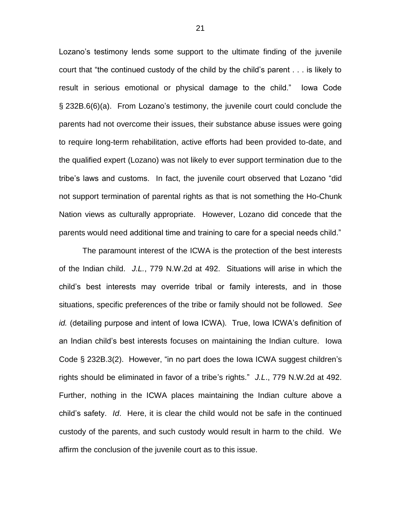Lozano's testimony lends some support to the ultimate finding of the juvenile court that "the continued custody of the child by the child's parent . . . is likely to result in serious emotional or physical damage to the child." Iowa Code § 232B.6(6)(a). From Lozano's testimony, the juvenile court could conclude the parents had not overcome their issues, their substance abuse issues were going to require long-term rehabilitation, active efforts had been provided to-date, and the qualified expert (Lozano) was not likely to ever support termination due to the tribe's laws and customs. In fact, the juvenile court observed that Lozano "did not support termination of parental rights as that is not something the Ho-Chunk Nation views as culturally appropriate. However, Lozano did concede that the parents would need additional time and training to care for a special needs child."

The paramount interest of the ICWA is the protection of the best interests of the Indian child. *J.L.*, 779 N.W.2d at 492. Situations will arise in which the child's best interests may override tribal or family interests, and in those situations, specific preferences of the tribe or family should not be followed. *See id.* (detailing purpose and intent of Iowa ICWA). True, Iowa ICWA's definition of an Indian child's best interests focuses on maintaining the Indian culture. Iowa Code § 232B.3(2). However, "in no part does the Iowa ICWA suggest children's rights should be eliminated in favor of a tribe's rights." *J.L*., 779 N.W.2d at 492. Further, nothing in the ICWA places maintaining the Indian culture above a child's safety. *Id*. Here, it is clear the child would not be safe in the continued custody of the parents, and such custody would result in harm to the child. We affirm the conclusion of the juvenile court as to this issue.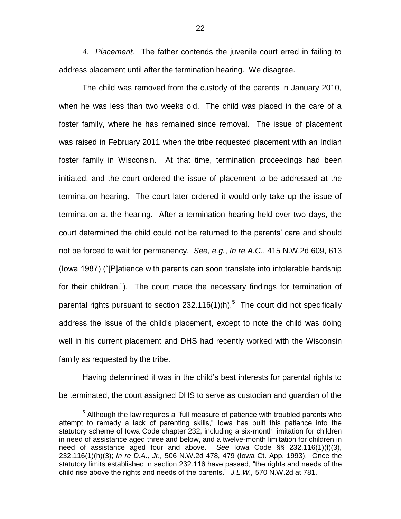*4. Placement.* The father contends the juvenile court erred in failing to address placement until after the termination hearing. We disagree.

The child was removed from the custody of the parents in January 2010, when he was less than two weeks old. The child was placed in the care of a foster family, where he has remained since removal. The issue of placement was raised in February 2011 when the tribe requested placement with an Indian foster family in Wisconsin. At that time, termination proceedings had been initiated, and the court ordered the issue of placement to be addressed at the termination hearing. The court later ordered it would only take up the issue of termination at the hearing. After a termination hearing held over two days, the court determined the child could not be returned to the parents' care and should not be forced to wait for permanency. *See, e.g.*, *In re A.C.*, 415 N.W.2d 609, 613 (Iowa 1987) ("[P]atience with parents can soon translate into intolerable hardship for their children."). The court made the necessary findings for termination of parental rights pursuant to section 232.116(1)(h).<sup>5</sup> The court did not specifically address the issue of the child's placement, except to note the child was doing well in his current placement and DHS had recently worked with the Wisconsin family as requested by the tribe.

Having determined it was in the child's best interests for parental rights to be terminated, the court assigned DHS to serve as custodian and guardian of the

 $\overline{a}$ 

<sup>&</sup>lt;sup>5</sup> Although the law requires a "full measure of patience with troubled parents who attempt to remedy a lack of parenting skills," Iowa has built this patience into the statutory scheme of Iowa Code chapter 232, including a six-month limitation for children in need of assistance aged three and below, and a twelve-month limitation for children in need of assistance aged four and above. *See* Iowa Code §§ 232.116(1)(f)(3), 232.116(1)(h)(3); *In re D.A., Jr.,* 506 N.W.2d 478, 479 (Iowa Ct. App. 1993). Once the statutory limits established in section 232.116 have passed, "the rights and needs of the child rise above the rights and needs of the parents." *J.L.W.,* 570 N.W.2d at 781.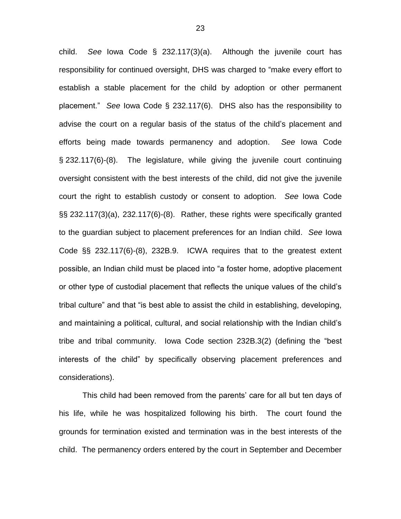child. *See* Iowa Code § 232.117(3)(a). Although the juvenile court has responsibility for continued oversight, DHS was charged to "make every effort to establish a stable placement for the child by adoption or other permanent placement." *See* Iowa Code § 232.117(6). DHS also has the responsibility to advise the court on a regular basis of the status of the child's placement and efforts being made towards permanency and adoption. *See* Iowa Code § 232.117(6)-(8). The legislature, while giving the juvenile court continuing oversight consistent with the best interests of the child, did not give the juvenile court the right to establish custody or consent to adoption. *See* Iowa Code §§ 232.117(3)(a), 232.117(6)-(8). Rather, these rights were specifically granted to the guardian subject to placement preferences for an Indian child. *See* Iowa Code §§ 232.117(6)-(8), 232B.9. ICWA requires that to the greatest extent possible, an Indian child must be placed into "a foster home, adoptive placement or other type of custodial placement that reflects the unique values of the child's tribal culture" and that "is best able to assist the child in establishing, developing, and maintaining a political, cultural, and social relationship with the Indian child's tribe and tribal community. Iowa Code section 232B.3(2) (defining the "best interests of the child" by specifically observing placement preferences and considerations).

This child had been removed from the parents' care for all but ten days of his life, while he was hospitalized following his birth. The court found the grounds for termination existed and termination was in the best interests of the child. The permanency orders entered by the court in September and December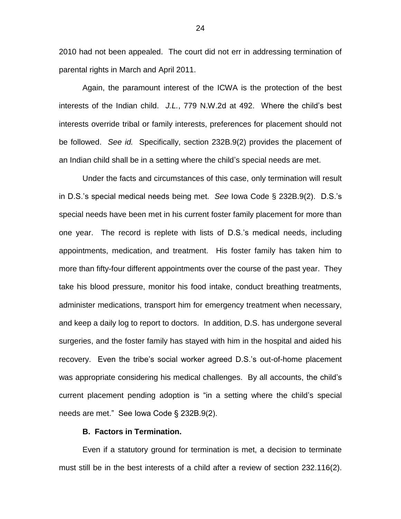2010 had not been appealed. The court did not err in addressing termination of parental rights in March and April 2011.

Again, the paramount interest of the ICWA is the protection of the best interests of the Indian child. *J.L.*, 779 N.W.2d at 492. Where the child's best interests override tribal or family interests, preferences for placement should not be followed. *See id.* Specifically, section 232B.9(2) provides the placement of an Indian child shall be in a setting where the child's special needs are met.

Under the facts and circumstances of this case, only termination will result in D.S.'s special medical needs being met. *See* Iowa Code § 232B.9(2). D.S.'s special needs have been met in his current foster family placement for more than one year. The record is replete with lists of D.S.'s medical needs, including appointments, medication, and treatment. His foster family has taken him to more than fifty-four different appointments over the course of the past year. They take his blood pressure, monitor his food intake, conduct breathing treatments, administer medications, transport him for emergency treatment when necessary, and keep a daily log to report to doctors. In addition, D.S. has undergone several surgeries, and the foster family has stayed with him in the hospital and aided his recovery. Even the tribe's social worker agreed D.S.'s out-of-home placement was appropriate considering his medical challenges. By all accounts, the child's current placement pending adoption is "in a setting where the child's special needs are met." See Iowa Code § 232B.9(2).

# **B. Factors in Termination.**

Even if a statutory ground for termination is met, a decision to terminate must still be in the best interests of a child after a review of section 232.116(2).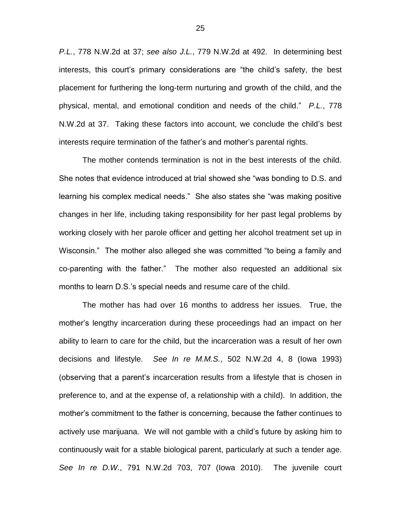*P.L.*, 778 N.W.2d at 37; *see also J.L.*, 779 N.W.2d at 492. In determining best interests, this court's primary considerations are "the child's safety, the best placement for furthering the long-term nurturing and growth of the child, and the physical, mental, and emotional condition and needs of the child." *P.L.*, 778 N.W.2d at 37. Taking these factors into account, we conclude the child's best interests require termination of the father's and mother's parental rights.

The mother contends termination is not in the best interests of the child. She notes that evidence introduced at trial showed she "was bonding to D.S. and learning his complex medical needs." She also states she "was making positive changes in her life, including taking responsibility for her past legal problems by working closely with her parole officer and getting her alcohol treatment set up in Wisconsin." The mother also alleged she was committed "to being a family and co-parenting with the father." The mother also requested an additional six months to learn D.S.'s special needs and resume care of the child.

The mother has had over 16 months to address her issues. True, the mother's lengthy incarceration during these proceedings had an impact on her ability to learn to care for the child, but the incarceration was a result of her own decisions and lifestyle. *See In re M.M.S.*, 502 N.W.2d 4, 8 (Iowa 1993) (observing that a parent's incarceration results from a lifestyle that is chosen in preference to, and at the expense of, a relationship with a child). In addition, the mother's commitment to the father is concerning, because the father continues to actively use marijuana. We will not gamble with a child's future by asking him to continuously wait for a stable biological parent, particularly at such a tender age. *See In re D.W.*, 791 N.W.2d 703, 707 (Iowa 2010). The juvenile court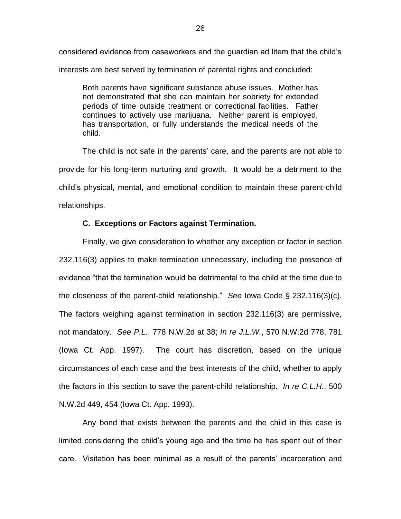considered evidence from caseworkers and the guardian ad litem that the child's interests are best served by termination of parental rights and concluded:

Both parents have significant substance abuse issues. Mother has not demonstrated that she can maintain her sobriety for extended periods of time outside treatment or correctional facilities. Father continues to actively use marijuana. Neither parent is employed, has transportation, or fully understands the medical needs of the child.

The child is not safe in the parents' care, and the parents are not able to provide for his long-term nurturing and growth. It would be a detriment to the child's physical, mental, and emotional condition to maintain these parent-child relationships.

# **C. Exceptions or Factors against Termination.**

Finally, we give consideration to whether any exception or factor in section 232.116(3) applies to make termination unnecessary, including the presence of evidence "that the termination would be detrimental to the child at the time due to the closeness of the parent-child relationship." *See* Iowa Code § 232.116(3)(c). The factors weighing against termination in section 232.116(3) are permissive, not mandatory. *See P.L.*, 778 N.W.2d at 38; *In re J.L.W.*, 570 N.W.2d 778, 781 (Iowa Ct. App. 1997). The court has discretion, based on the unique circumstances of each case and the best interests of the child, whether to apply the factors in this section to save the parent-child relationship. *In re C.L.H.*, 500 N.W.2d 449, 454 (Iowa Ct. App. 1993).

Any bond that exists between the parents and the child in this case is limited considering the child's young age and the time he has spent out of their care. Visitation has been minimal as a result of the parents' incarceration and